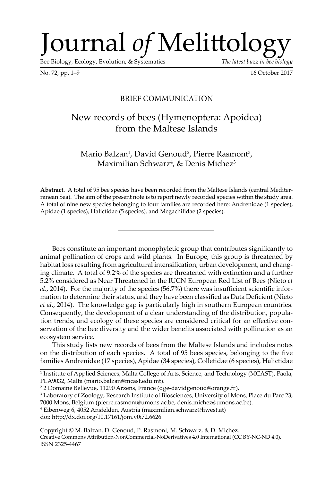Bee Biology, Ecology, Evolution, & Systematics *The latest buzz in bee biology*

No. 72, pp. 1–9 16 October 2017

## BRIEF COMMUNICATION

Journal *of* Melittology

# New records of bees (Hymenoptera: Apoidea) from the Maltese Islands

# Mario Balzan<sup>1</sup>, David Genoud<sup>2</sup>, Pierre Rasmont<sup>3</sup>, Maximilian Schwarz<sup>4</sup>, & Denis Michez<sup>3</sup>

**Abstract.** A total of 95 bee species have been recorded from the Maltese Islands (central Mediterranean Sea). The aim of the present note is to report newly recorded species within the study area. A total of nine new species belonging to four families are recorded here: Andrenidae (1 species), Apidae (1 species), Halictidae (5 species), and Megachilidae (2 species).

Bees constitute an important monophyletic group that contributes significantly to animal pollination of crops and wild plants. In Europe, this group is threatened by habitat loss resulting from agricultural intensification, urban development, and changing climate. A total of 9.2% of the species are threatened with extinction and a further 5.2% considered as Near Threatened in the IUCN European Red List of Bees (Nieto *et al*., 2014). For the majority of the species (56.7%) there was insufficient scientific information to determine their status, and they have been classified as Data Deficient (Nieto *et al*., 2014). The knowledge gap is particularly high in southern European countries. Consequently, the development of a clear understanding of the distribution, population trends, and ecology of these species are considered critical for an effective conservation of the bee diversity and the wider benefits associated with pollination as an ecosystem service.

This study lists new records of bees from the Maltese Islands and includes notes on the distribution of each species. A total of 95 bees species, belonging to the five families Andrenidae (17 species), Apidae (34 species), Colletidae (6 species), Halictidae

Copyright © M. Balzan, D. Genoud, P. Rasmont, M. Schwarz, & D. Michez. Creative Commons Attribution-NonCommercial-NoDerivatives 4.0 International [\(CC BY-NC-ND 4.0](https://creativecommons.org/licenses/by-nc-nd/4.0/)). ISSN 2325-4467

<sup>&</sup>lt;sup>1</sup> Institute of Applied Sciences, Malta College of Arts, Science, and Technology (MCAST), Paola, PLA9032, Malta (mario.balzan@mcast.edu.mt).

<sup>2</sup> 2 Domaine Bellevue, 11290 Arzens, France (dge-davidgenoud@orange.fr).

<sup>3</sup> Laboratory of Zoology, Research Institute of Biosciences, University of Mons, Place du Parc 23, 7000 Mons, Belgium (pierre.rasmont@umons.ac.be, denis.michez@umons.ac.be).

<sup>4</sup> Eibenweg 6, 4052 Ansfelden, Austria (maximilian.schwarz@liwest.at)

doi: [http://dx.doi.org/10.17161/jom.v0i72.](http://dx.doi.org/10.17161/jom.v0i72.6626)6626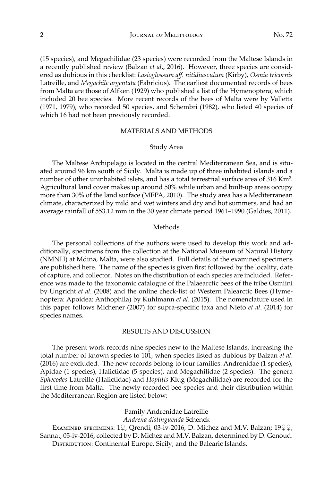2 Journal *of* Melittology No. 72

(15 species), and Megachilidae (23 species) were recorded from the Maltese Islands in a recently published review (Balzan *et al*., 2016). However, three species are considered as dubious in this checklist: *Lasioglossum aff. nitidiusculum* (Kirby), *Osmia tricornis* Latreille, and *Megachile argentata* (Fabricius). The earliest documented records of bees from Malta are those of Alfken (1929) who published a list of the Hymenoptera, which included 20 bee species. More recent records of the bees of Malta were by Valletta (1971, 1979), who recorded 50 species, and Schembri (1982), who listed 40 species of which 16 had not been previously recorded.

### MATERIALS AND METHODS

### Study Area

The Maltese Archipelago is located in the central Mediterranean Sea, and is situated around 96 km south of Sicily. Malta is made up of three inhabited islands and a number of other uninhabited islets, and has a total terrestrial surface area of 316 Km<sup>2</sup>. Agricultural land cover makes up around 50% while urban and built-up areas occupy more than 30% of the land surface (MEPA, 2010). The study area has a Mediterranean climate, characterized by mild and wet winters and dry and hot summers, and had an average rainfall of 553.12 mm in the 30 year climate period 1961–1990 (Galdies, 2011).

#### Methods

The personal collections of the authors were used to develop this work and additionally, specimens from the collection at the National Museum of Natural History (NMNH) at Mdina, Malta, were also studied. Full details of the examined specimens are published here. The name of the species is given first followed by the locality, date of capture, and collector. Notes on the distribution of each species are included. Reference was made to the taxonomic catalogue of the Palaearctic bees of the tribe Osmiini by Ungricht *et al*. (2008) and the online check-list of Western Palearctic Bees (Hymenoptera: Apoidea: Anthophila) by Kuhlmann *et al*. (2015). The nomenclature used in this paper follows Michener (2007) for supra-specific taxa and Nieto *et al*. (2014) for species names.

#### RESULTS AND DISCUSSION

The present work records nine species new to the Maltese Islands, increasing the total number of known species to 101, when species listed as dubious by Balzan *et al*. (2016) are excluded. The new records belong to four families: Andrenidae (1 species), Apidae (1 species), Halictidae (5 species), and Megachilidae (2 species). The genera *Sphecodes* Latreille (Halictidae) and *Hoplitis* Klug (Megachilidae) are recorded for the first time from Malta. The newly recorded bee species and their distribution within the Mediterranean Region are listed below:

# Family Andrenidae Latreille

*Andrena distinguenda* Schenck

Examined specimens:  $1\frac{9}{5}$ , Qrendi, 03-iv-2016, D. Michez and M.V. Balzan; 19 $\frac{9}{5}$ , Sannat, 05-iv-2016, collected by D. Michez and M.V. Balzan, determined by D. Genoud. DISTRIBUTION: Continental Europe, Sicily, and the Balearic Islands.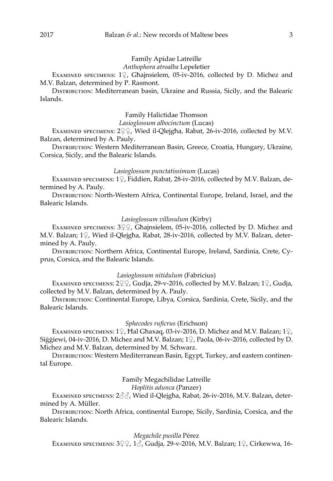# Family Apidae Latreille

## *Anthophora atroalba* Lepeletier

EXAMINED SPECIMENS:  $1\frac{9}{7}$ , Għajnsielem, 05-iv-2016, collected by D. Michez and M.V. Balzan, determined by P. Rasmont.

Distribution: Mediterranean basin, Ukraine and Russia, Sicily, and the Balearic Islands.

#### Family Halictidae Thomson

#### *Lasioglossum albocinctum* (Lucas)

EXAMINED SPECIMENS:  $2\sqrt{2}$ , Wied il-Qlejgħa, Rabat, 26-iv-2016, collected by M.V. Balzan, determined by A. Pauly.

DISTRIBUTION: Western Mediterranean Basin, Greece, Croatia, Hungary, Ukraine, Corsica, Sicily, and the Balearic Islands.

#### *Lasioglossum punctatissimum* (Lucas)

EXAMINED SPECIMENS:  $1\frac{9}{5}$ , Fiddien, Rabat, 28-iv-2016, collected by M.V. Balzan, determined by A. Pauly.

Distribution: North-Western Africa, Continental Europe, Ireland, Israel, and the Balearic Islands.

#### *Lasioglossum villosulum* (Kirby)

EXAMINED SPECIMENS:  $3\sqrt{2}$ , Għajnsielem, 05-iv-2016, collected by D. Michez and M.V. Balzan; 1♀, Wied il-Qlejgħa, Rabat, 28-iv-2016, collected by M.V. Balzan, determined by A. Pauly.

Distribution: Northern Africa, Continental Europe, Ireland, Sardinia, Crete, Cyprus, Corsica, and the Balearic Islands.

#### *Lasioglossum nitidulum* (Fabricius)

Examined specimens:  $2\sqrt{2}$ , Gudja, 29-v-2016, collected by M.V. Balzan; 1 $\sqrt{2}$ , Gudja, collected by M.V. Balzan, determined by A. Pauly.

Distribution: Continental Europe, Libya, Corsica, Sardinia, Crete, Sicily, and the Balearic Islands.

#### *Sphecodes ruficrus* (Erichson)

EXAMINED SPECIMENS: 1♀, Hal Għaxaq, 03-iv-2016, D. Michez and M.V. Balzan; 1♀, Siġġiewi, 04-iv-2016, D. Michez and M.V. Balzan; 1♀, Paola, 06-iv-2016, collected by D. Michez and M.V. Balzan, determined by M. Schwarz.

Distribution: Western Mediterranean Basin, Egypt, Turkey, and eastern continental Europe.

### Family Megachilidae Latreille

#### *Hoplitis adunca* (Panzer)

Examined specimens: 2♂♂, Wied il-Qlejgħa, Rabat, 26-iv-2016, M.V. Balzan, determined by A. Müller.

Distribution: North Africa, continental Europe, Sicily, Sardinia, Corsica, and the Balearic Islands.

#### *Megachile pusilla* Pérez

Examined specimens:  $3\sqrt{2}$ ,  $1\sqrt{3}$ , Gudja, 29-v-2016, M.V. Balzan; 1 $\sqrt{2}$ , Cirkewwa, 16-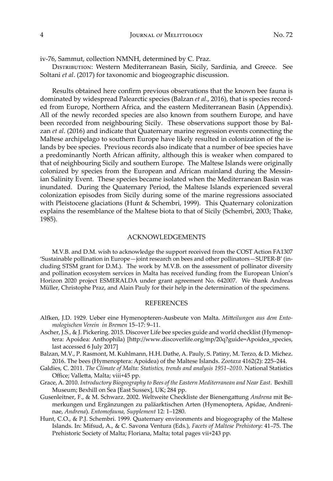iv-76, Sammut, collection NMNH, determined by C. Praz.

DISTRIBUTION: Western Mediterranean Basin, Sicily, Sardinia, and Greece. See Soltani *et al*. (2017) for taxonomic and biogeographic discussion.

Results obtained here confirm previous observations that the known bee fauna is dominated by widespread Palearctic species (Balzan *et al*., 2016), that is species recorded from Europe, Northern Africa, and the eastern Mediterranean Basin (Appendix). All of the newly recorded species are also known from southern Europe, and have been recorded from neighbouring Sicily. These observations support those by Balzan *et al*. (2016) and indicate that Quaternary marine regression events connecting the Maltese archipelago to southern Europe have likely resulted in colonization of the islands by bee species. Previous records also indicate that a number of bee species have a predominantly North African affinity, although this is weaker when compared to that of neighbouring Sicily and southern Europe. The Maltese Islands were originally colonized by species from the European and African mainland during the Messinian Salinity Event. These species became isolated when the Mediterranean Basin was inundated. During the Quaternary Period, the Maltese Islands experienced several colonization episodes from Sicily during some of the marine regressions associated with Pleistocene glaciations (Hunt & Schembri, 1999). This Quaternary colonization explains the resemblance of the Maltese biota to that of Sicily (Schembri, 2003; Thake, 1985).

#### ACKNOWLEDGEMENTS

M.V.B. and D.M. wish to acknowledge the support received from the COST Action FA1307 'Sustainable pollination in Europe—joint research on bees and other pollinators—SUPER-B' (including STSM grant for D.M.). The work by M.V.B. on the assessment of pollinator diversity and pollination ecosystem services in Malta has received funding from the European Union's Horizon 2020 project ESMERALDA under grant agreement No. 642007. We thank Andreas Müller, Christophe Praz, and Alain Pauly for their help in the determination of the specimens.

#### REFERENCES

- Alfken, J.D. 1929. Ueber eine Hymenopteren-Ausbeute von Malta. *Mitteilungen aus dem Entomologischen Verein in Bremen* 15–17: 9–11.
- Ascher, J.S., & J. Pickering. 2015. Discover Life bee species guide and world checklist (Hymenoptera: Apoidea: Anthophila) [http://www.discoverlife.org/mp/20q?guide=Apoidea\_species, last accessed 6 July 2017]
- Balzan, M.V., P. Rasmont, M. Kuhlmann, H.H. Dathe, A. Pauly, S. Patiny, M. Terzo, & D. Michez. 2016. The bees (Hymenoptera: Apoidea) of the Maltese Islands. *Zootaxa* 4162(2): 225–244.
- Galdies, C. 2011. *The Climate of Malta: Statistics, trends and analysis 1951–2010*. National Statistics Office; Valletta, Malta; viii+45 pp.
- Grace, A. 2010. *Introductory Biogeography to Bees of the Eastern Mediterranean and Near East*. Bexhill Museum; Bexhill on Sea [East Sussex], UK; 284 pp.
- Gusenleitner, F., & M. Schwarz. 2002. Weltweite Checkliste der Bienengattung *Andrena* mit Bemerkungen und Ergänzungen zu paläarktischen Arten (Hymenoptera, Apidae, Andreninae, *Andrena*). *Entomofauna, Supplement* 12: 1–1280.
- Hunt, C.O., & P.J. Schembri. 1999. Quaternary environments and biogeography of the Maltese Islands. In: Mifsud, A., & C. Savona Ventura (Eds.), *Facets of Maltese Prehistory*: 41–75. The Prehistoric Society of Malta; Floriana, Malta; total pages vii+243 pp.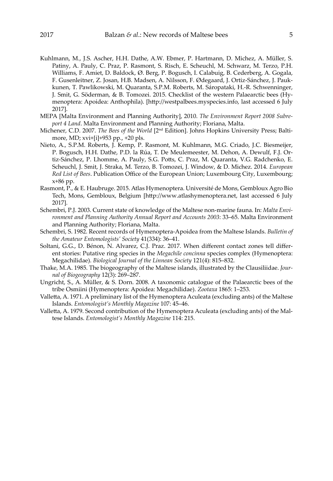- Kuhlmann, M., J.S. Ascher, H.H. Dathe, A.W. Ebmer, P. Hartmann, D. Michez, A. Müller, S. Patiny, A. Pauly, C. Praz, P. Rasmont, S. Risch, E. Scheuchl, M. Schwarz, M. Terzo, P.H. Williams, F. Amiet, D. Baldock, Ø. Berg, P. Bogusch, I. Calabuig, B. Cederberg, A. Gogala, F. Gusenleitner, Z. Josan, H.B. Madsen, A. Nilsson, F. Ødegaard, J. Ortiz-Sánchez, J. Paukkunen, T. Pawlikowski, M. Quaranta, S.P.M. Roberts, M. Sáropataki, H.-R. Schwenninger, J. Smit, G. Söderman, & B. Tomozei. 2015. Checklist of the western Palaearctic bees (Hymenoptera: Apoidea: Anthophila). [http://westpalbees.myspecies.info, last accessed 6 July 2017].
- MEPA [Malta Environment and Planning Authority], 2010. *The Environment Report 2008 Subreport 4 Land*. Malta Environment and Planning Authority; Floriana, Malta.
- Michener, C.D. 2007. *The Bees of the World* [2nd Edition]. Johns Hopkins University Press; Baltimore, MD; xvi+[i]+953 pp., +20 pls.
- Nieto, A., S.P.M. Roberts, J. Kemp, P. Rasmont, M. Kuhlmann, M.G. Criado, J.C. Biesmeijer, P. Bogusch, H.H. Dathe, P.D. la Rúa, T. De Meulemeester, M. Dehon, A. Dewulf, F.J. Ortiz-Sánchez, P. Lhomme, A. Pauly, S.G. Potts, C. Praz, M. Quaranta, V.G. Radchenko, E. Scheuchl, J. Smit, J. Straka, M. Terzo, B. Tomozei, J. Window, & D. Michez. 2014. *European Red List of Bees*. Publication Office of the European Union; Luxembourg City, Luxembourg; x+86 pp.
- Rasmont, P., & E. Haubruge. 2015. Atlas Hymenoptera. Université de Mons, Gembloux Agro Bio Tech, Mons, Gembloux, Belgium [http://www.atlashymenoptera.net, last accessed 6 July 2017].
- Schembri, P.J. 2003. Current state of knowledge of the Maltese non-marine fauna. In: *Malta Environment and Planning Authority Annual Report and Accounts 2003*: 33–65. Malta Environment and Planning Authority; Floriana, Malta.
- Schembri, S. 1982. Recent records of Hymenoptera-Apoidea from the Maltese Islands. *Bulletin of the Amateur Entomologists' Society* 41(334): 36–41.
- Soltani, G.G., D. Bénon, N. Alvarez, C.J. Praz. 2017. When different contact zones tell different stories: Putative ring species in the *Megachile concinna* species complex (Hymenoptera: Megachilidae). *Biological Journal of the Linnean Society* 121(4): 815–832.
- Thake, M.A. 1985. The biogeography of the Maltese islands, illustrated by the Clausiliidae. *Journal of Biogeography* 12(3): 269–287.
- Ungricht, S., A. Müller, & S. Dorn. 2008. A taxonomic catalogue of the Palaearctic bees of the tribe Osmiini (Hymenoptera: Apoidea: Megachilidae). *Zootaxa* 1865: 1–253.
- Valletta, A. 1971. A preliminary list of the Hymenoptera Aculeata (excluding ants) of the Maltese Islands. *Entomologist's Monthly Magazine* 107: 45–46.
- Valletta, A. 1979. Second contribution of the Hymenoptera Aculeata (excluding ants) of the Maltese Islands. *Entomologist's Monthly Magazine* 114: 215.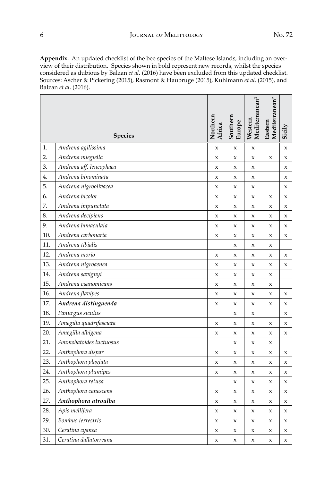**Appendix.** An updated checklist of the bee species of the Maltese Islands, including an overview of their distribution. Species shown in bold represent new records, whilst the species considered as dubious by Balzan *et al*. (2016) have been excluded from this updated checklist. Sources: Ascher & Pickering (2015), Rasmont & Haubruge (2015), Kuhlmann *et al*. (2015), and Balzan *et al*. (2016).

|     | Species                 | Northern<br>Africa        | Southern<br>Europe        | Mediterranean <sup>1</sup><br>Western | Mediterranean <sup>2</sup><br>Eastern | Sicily                    |
|-----|-------------------------|---------------------------|---------------------------|---------------------------------------|---------------------------------------|---------------------------|
| 1.  | Andrena agilissima      | $\boldsymbol{\mathsf{x}}$ | $\boldsymbol{\mathsf{x}}$ | $\boldsymbol{\mathsf{X}}$             |                                       | $\pmb{\chi}$              |
| 2.  | Andrena miegiella       | $\pmb{\times}$            | $\mathsf X$               | $\mathsf X$                           | $\boldsymbol{\mathsf{X}}$             | X                         |
| 3.  | Andrena aff. leucophaea | $\mathsf X$               | $\mathbf{x}$              | X                                     |                                       | x                         |
| 4.  | Andrena binominata      | $\pmb{\times}$            | $\mathsf X$               | $\pmb{\chi}$                          |                                       | X                         |
| 5.  | Andrena nigroolivacea   | $\mathsf X$               | X                         | $\pmb{\chi}$                          |                                       | X                         |
| 6.  | Andrena bicolor         | $\pmb{\chi}$              | $\boldsymbol{\chi}$       | $\pmb{\chi}$                          | X                                     | X                         |
| 7.  | Andrena impunctata      | $\mathsf X$               | $\mathsf X$               | $\mathsf X$                           | $\boldsymbol{\mathsf{X}}$             | X                         |
| 8.  | Andrena decipiens       | $\pmb{\chi}$              | $\mathsf X$               | X                                     | X                                     | X                         |
| 9.  | Andrena bimaculata      | X                         | $\mathbf{x}$              | $\pmb{\chi}$                          | X                                     | X                         |
| 10. | Andrena carbonaria      | $\pmb{\times}$            | $\mathsf x$               | $\mathbf{x}$                          | $\boldsymbol{\mathsf{X}}$             | $\mathsf x$               |
| 11. | Andrena tibialis        |                           | X                         | X                                     | X                                     |                           |
| 12. | Andrena morio           | $\mathbf x$               | $\mathbf{x}$              | $\mathbf{x}$                          | $\mathbf x$                           | $\mathbf{x}$              |
| 13. | Andrena nigroaenea      | X                         | $\mathsf X$               | $\pmb{\chi}$                          | X                                     | X                         |
| 14. | Andrena savignyi        | $\mathsf x$               | $\mathsf x$               | $\pmb{\times}$                        | X                                     |                           |
| 15. | Andrena cyanomicans     | $\mathsf x$               | $\mathsf X$               | $\pmb{\chi}$                          | X                                     |                           |
| 16. | Andrena flavipes        | $\mathsf x$               | $\mathsf X$               | $\mathsf X$                           | X                                     | $\mathsf x$               |
| 17. | Andrena distinguenda    | X                         | X                         | $\boldsymbol{\chi}$                   | X                                     | X                         |
| 18. | Panurgus siculus        |                           | X                         | $\pmb{\chi}$                          |                                       | X                         |
| 19. | Amegilla quadrifasciata | $\pmb{\chi}$              | $\mathsf X$               | $\mathsf X$                           | X                                     | X                         |
| 20. | Amegilla albigena       | X                         | X                         | X                                     | X                                     | X                         |
| 21. | Ammobatoides luctuosus  |                           | $\mathbf{x}$              | $\mathbf x$                           | X                                     |                           |
| 22. | Anthophora dispar       | $\mathsf X$               | X                         | $\boldsymbol{\chi}$                   | X                                     | X                         |
| 23. | Anthophora plagiata     | X                         | X                         | X                                     | X                                     | X                         |
| 24. | Anthophora plumipes     | $\pmb{\chi}$              | $\mathbf{x}$              | $\mathbf x$                           | X                                     | $\mathbf x$               |
| 25. | Anthophora retusa       |                           | $\boldsymbol{\mathsf{X}}$ | $\mathsf x$                           | X                                     | X                         |
| 26. | Anthophora canescens    | X                         | X                         | X                                     | X                                     | X                         |
| 27. | Anthophora atroalba     | $\boldsymbol{\mathsf{X}}$ | $\mathbf{x}$              | $\mathbf{x}$                          | $\mathsf X$                           | $\boldsymbol{\mathsf{X}}$ |
| 28. | Apis mellifera          | X                         | X                         | X                                     | X                                     | X                         |
| 29. | Bombus terrestris       | X                         | $\mathbf x$               | $\boldsymbol{\mathsf{x}}$             | $\mathsf X$                           | X                         |
| 30. | Ceratina cyanea         | X                         | X                         | X                                     | X                                     | X                         |
| 31. | Ceratina dallatorreana  | $\mathbf x$               | $\mathbf x$               | $\mathbf x$                           | $\mathbf x$                           | $\mathbf x$               |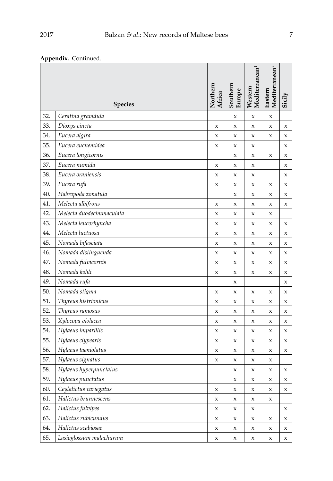|  | Appendix. Continued. |
|--|----------------------|
|--|----------------------|

| r r | <b>Species</b>           | Northern<br>Africa | Southern<br>Europe | Mediterranean <sup>1</sup><br>Western | Mediterranean <sup>2</sup><br>Eastern | Sicily |
|-----|--------------------------|--------------------|--------------------|---------------------------------------|---------------------------------------|--------|
| 32. | Ceratina gravidula       |                    | X                  | X                                     | X                                     |        |
| 33. | Dioxys cincta            | X                  | X                  | x                                     | x                                     | x      |
| 34. | Eucera algira            | X                  | X                  | X                                     | X                                     | X      |
| 35. | Eucera eucnemidea        | $\mathsf X$        | X                  | X                                     |                                       | X      |
| 36. | Eucera longicornis       |                    | X                  | X                                     | X                                     | X      |
| 37. | Eucera numida            | X                  | x                  | X                                     |                                       | X      |
| 38. | Eucera oraniensis        | X                  | X                  | X                                     |                                       | X      |
| 39. | Eucera rufa              | $\pmb{\chi}$       | X                  | X                                     | X                                     | X      |
| 40. | Habropoda zonatula       |                    | X                  | x                                     | x                                     | X      |
| 41. | Melecta albifrons        | $\pmb{\chi}$       | x                  | x                                     | X                                     | X      |
| 42. | Melecta duodecimmaculata | X                  | X                  | x                                     | x                                     |        |
| 43. | Melecta leucorhyncha     | X                  | x                  | x                                     | x                                     | X      |
| 44. | Melecta luctuosa         | X                  | X                  | x                                     | X                                     | X      |
| 45. | Nomada bifasciata        | X                  | X                  | x                                     | x                                     | X      |
| 46. | Nomada distinguenda      | X                  | X                  | X                                     | x                                     | X      |
| 47. | Nomada fulvicornis       | X                  | X                  | x                                     | x                                     | X      |
| 48. | Nomada kohli             | X                  | X                  | x                                     | x                                     | X      |
| 49. | Nomada rufa              |                    | X                  |                                       |                                       | x      |
| 50. | Nomada stigma            | X                  | x                  | X                                     | X                                     | X      |
| 51. | Thyreus histrionicus     | X                  | X                  | x                                     | x                                     | x      |
| 52. | Thyreus ramosus          | X                  | X                  | X                                     | X                                     | X      |
| 53. | Xylocopa violacea        | X                  | X                  | X                                     | X                                     | X      |
| 54. | Hylaeus imparillis       | X                  | X                  | x                                     | x                                     | X      |
| 55. | Hylaeus clypearis        | X                  | X                  | x                                     | x                                     | X      |
| 56. | Hylaeus taeniolatus      | x                  | x                  | x                                     | x                                     | X      |
| 57. | Hylaeus signatus         | X                  | X                  | X                                     | X                                     |        |
| 58. | Hylaeus hyperpunctatus   |                    | X                  | x                                     | X                                     | X      |
| 59. | Hylaeus punctatus        |                    | $\mathsf x$        | X                                     | X                                     | X      |
| 60. | Ceylalictus variegatus   | X                  | X                  | X                                     | X                                     | X      |
| 61. | Halictus brunnescens     | x                  | X                  | x                                     | x                                     |        |
| 62. | Halictus fulvipes        | X                  | x                  | X                                     |                                       | x      |
| 63. | Halictus rubicundus      | X                  | x                  | x                                     | x                                     | x      |
| 64. | Halictus scabiosae       | X                  | X                  | X                                     | x                                     | X      |
| 65. | Lasioglossum malachurum  | X                  | $\mathsf X$        | x                                     | x                                     | X      |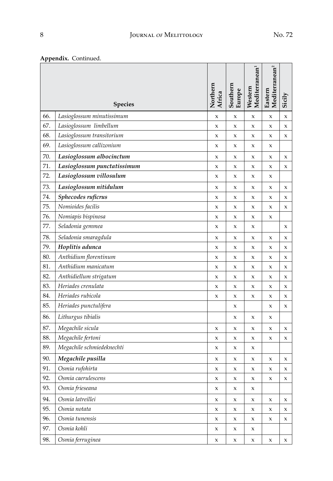# 8 JOURNAL *OF* MELITTOLOGY NO. 72

|     | <b>Species</b>              | Northern<br>Africa | Southern<br>Europe | Mediterranean <sup>1</sup><br>Western | Mediterranean <sup>2</sup><br>Eastern | Sicily |
|-----|-----------------------------|--------------------|--------------------|---------------------------------------|---------------------------------------|--------|
| 66. | Lasioglossum minutissimum   | X                  | X                  | X                                     | X                                     | x      |
| 67. | Lasioglossum limbellum      | $\pmb{\times}$     | X                  | x                                     | X                                     | x      |
| 68. | Lasioglossum transitorium   | X                  | X                  | x                                     | x                                     | X      |
| 69. | Lasioglossum callizonium    | X                  | X                  | X                                     | X                                     |        |
| 70. | Lasioglossum albocinctum    | X                  | X                  | x                                     | X                                     | x      |
| 71. | Lasioglossum punctatissimum | X                  | X                  | x                                     | X                                     | X      |
| 72. | Lasioglossum villosulum     | X                  | x                  | X                                     | X                                     |        |
| 73. | Lasioglossum nitidulum      | X                  | X                  | x                                     | x                                     | X      |
| 74. | Sphecodes ruficrus          | X                  | X                  | X                                     | X                                     | X      |
| 75. | Nomioides facilis           | X                  | X                  | X                                     | X                                     | x      |
| 76. | Nomiapis bispinosa          | X                  | X                  | X                                     | X                                     |        |
| 77. | Seladonia gemmea            | X                  | X                  | x                                     |                                       | X      |
| 78. | Seladonia smaragdula        | X                  | X                  | X                                     | X                                     | X      |
| 79. | Hoplitis adunca             | X                  | X                  | X                                     | X                                     | X      |
| 80. | Anthidium florentinum       | X                  | X                  | X                                     | X                                     | X      |
| 81. | Anthidium manicatum         | X                  | X                  | X                                     | X                                     | X      |
| 82. | Anthidiellum strigatum      | X                  | x                  | x                                     | X                                     | X      |
| 83. | Heriades crenulata          | X                  | X                  | X                                     | X                                     | X      |
| 84. | Heriades rubicola           | X                  | X                  | X                                     | X                                     | x      |
| 85. | Heriades punctulifera       |                    | X                  |                                       | X                                     | X      |
| 86. | Lithurgus tibialis          |                    | X                  | X                                     | X                                     |        |
| 87. | Megachile sicula            | X                  | X                  | X                                     | X                                     | x      |
| 88. | Megachile fertoni           | X                  | x                  | X                                     | X                                     | X      |
| 89. | Megachile schmiedeknechti   | X                  | x                  | X                                     |                                       |        |
| 90. | Megachile pusilla           | x                  | x                  | X                                     | x                                     | x      |
| 91. | Osmia rufohirta             | X                  | X                  | X                                     | X                                     | x      |
| 92. | Osmia caerulescens          | x                  | x                  | x                                     | X                                     | X      |
| 93. | Osmia frieseana             | X                  | X                  | X                                     |                                       |        |
| 94. | Osmia latreillei            | X                  | x                  | X                                     | X                                     | X      |
| 95. | Osmia notata                | X                  | X                  | X                                     | X                                     | X      |
| 96. | Osmia tunensis              | x                  | x                  | X                                     | X                                     | X      |
| 97. | Osmia kohli                 | X                  | X                  | X                                     |                                       |        |
| 98. | Osmia ferruginea            | $\mathsf X$        | $\mathsf X$        | $\mathbf x$                           | X                                     | X      |

### **Appendix.** Continued.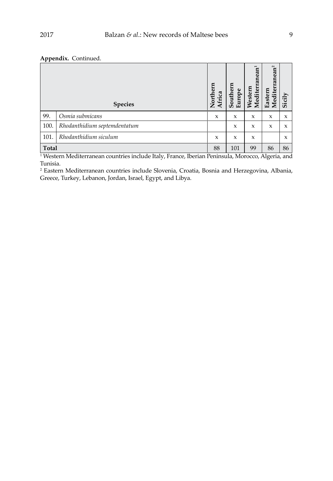### **Appendix.** Continued.

| . .          | Species                      | em<br>Northe<br>Africa | Southern<br>Europe  | $\mathbf{ean}^1$<br>Mediterran<br>Western | Mediterranean <sup>2</sup><br>Eastern | Sicily                    |
|--------------|------------------------------|------------------------|---------------------|-------------------------------------------|---------------------------------------|---------------------------|
| 99.          | Osmia submicans              | $\boldsymbol{\chi}$    | $\boldsymbol{\chi}$ | $\boldsymbol{\chi}$                       | X                                     | $\boldsymbol{\chi}$       |
| 100.         | Rhodanthidium septemdentatum |                        | $\boldsymbol{\chi}$ | X                                         | X                                     | $\boldsymbol{\mathsf{x}}$ |
| 101.         | Rhodanthidium siculum        | $\boldsymbol{\chi}$    | $\boldsymbol{\chi}$ | X                                         |                                       | $\boldsymbol{\mathsf{x}}$ |
| <b>Total</b> |                              | 88                     | 101                 | 99                                        | 86                                    | 86                        |

1 Western Mediterranean countries include Italy, France, Iberian Peninsula, Morocco, Algeria, and Tunisia.

2 Eastern Mediterranean countries include Slovenia, Croatia, Bosnia and Herzegovina, Albania, Greece, Turkey, Lebanon, Jordan, Israel, Egypt, and Libya.